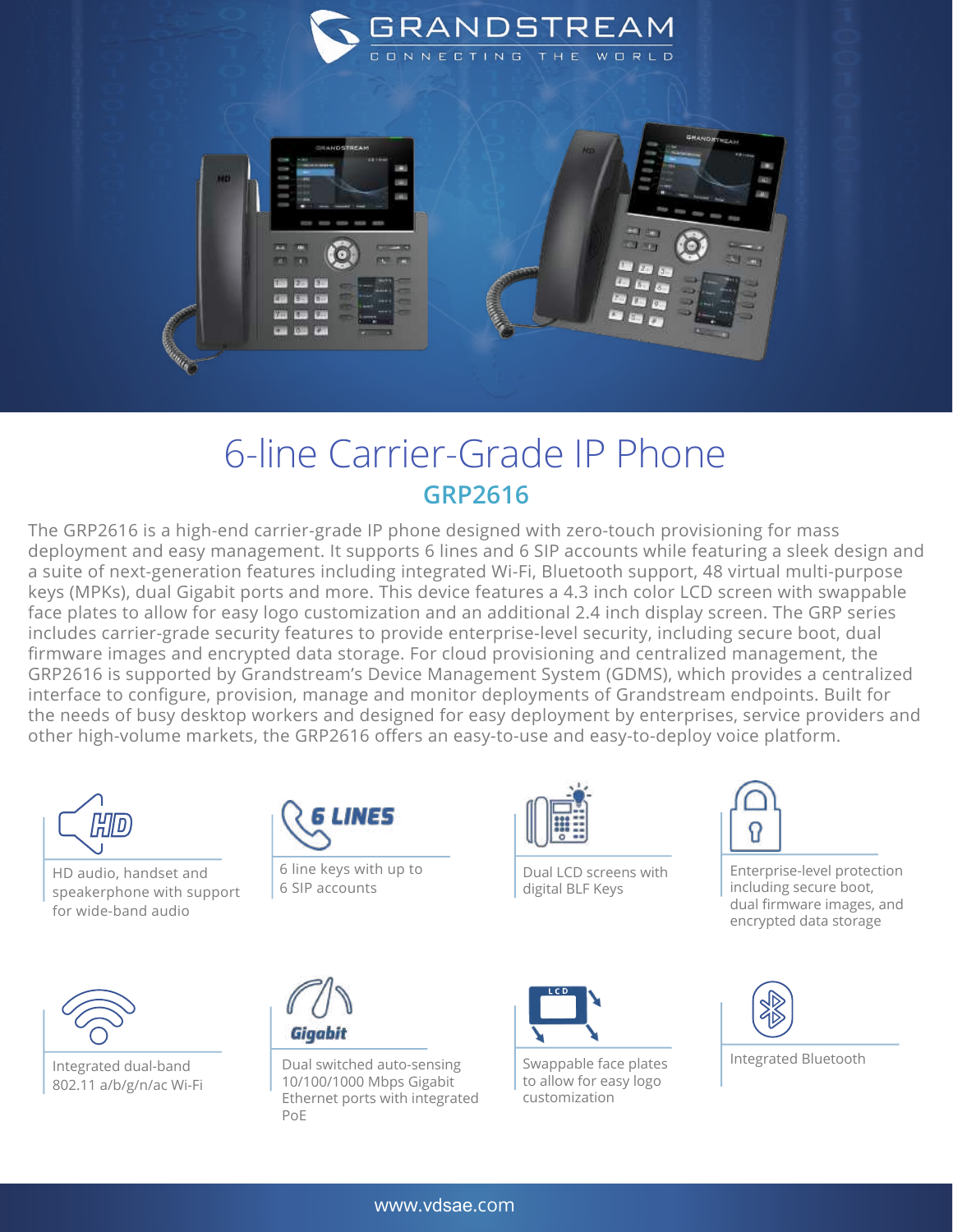

## 6-line Carrier-Grade IP Phone **GRP2616**

The GRP2616 is a high-end carrier-grade IP phone designed with zero-touch provisioning for mass deployment and easy management. It supports 6 lines and 6 SIP accounts while featuring a sleek design and a suite of next-generation features including integrated Wi-Fi, Bluetooth support, 48 virtual multi-purpose keys (MPKs), dual Gigabit ports and more. This device features a 4.3 inch color LCD screen with swappable face plates to allow for easy logo customization and an additional 2.4 inch display screen. The GRP series includes carrier-grade security features to provide enterprise-level security, including secure boot, dual firmware images and encrypted data storage. For cloud provisioning and centralized management, the GRP2616 is supported by Grandstream's Device Management System (GDMS), which provides a centralized interface to configure, provision, manage and monitor deployments of Grandstream endpoints. Built for the needs of busy desktop workers and designed for easy deployment by enterprises, service providers and other high-volume markets, the GRP2616 offers an easy-to-use and easy-to-deploy voice platform.



HD audio, handset and speakerphone with support for wide-band audio



Integrated dual-band 802.11 a/b/g/n/ac Wi-Fi



6 line keys with up to 6 SIP accounts

Dual switched auto-sensing 10/100/1000 Mbps Gigabit Ethernet ports with integrated

PoE

Gigabit



Dual LCD screens with digital BLF Keys



Swappable face plates to allow for easy logo customization



Enterprise-level protection including secure boot, dual firmware images, and encrypted data storage



Integrated Bluetooth

www.vdsae.com